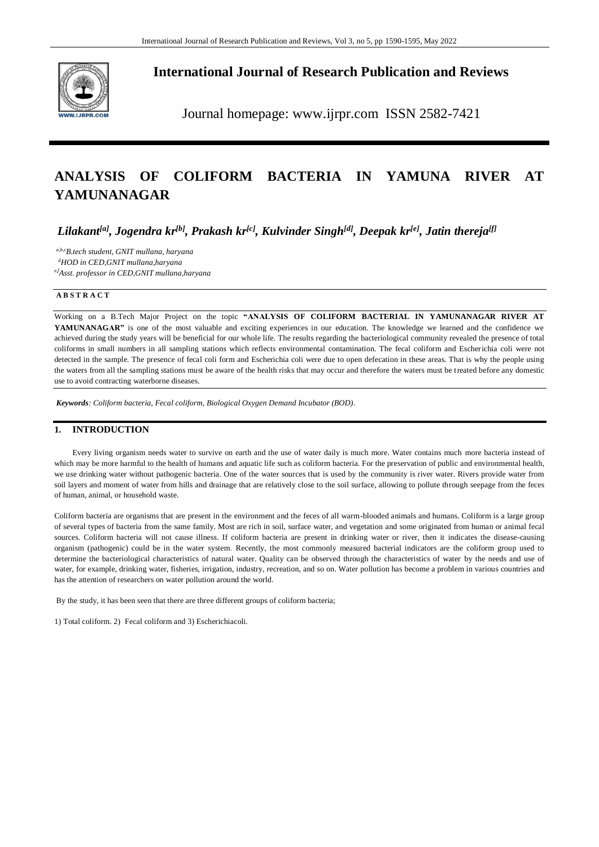

**International Journal of Research Publication and Reviews**

Journal homepage: www.ijrpr.com ISSN 2582-7421

# **ANALYSIS OF COLIFORM BACTERIA IN YAMUNA RIVER AT YAMUNANAGAR**

*Lilakant[a], Jogendra kr[b], Prakash kr[c], Kulvinder Singh[d], Deepak kr[e], Jatin thereja[f]* 

*a,b,cB.tech student, GNIT mullana, haryana <sup>d</sup>HOD in CED,GNIT mullana,haryana* 

*e,fAsst. professor in CED,GNIT mullana,haryana* 

### **A B S T R A C T**

Working on a B.Tech Major Project on the topic **"ANALYSIS OF COLIFORM BACTERIAL IN YAMUNANAGAR RIVER AT YAMUNANAGAR"** is one of the most valuable and exciting experiences in our education. The knowledge we learned and the confidence we achieved during the study years will be beneficial for our whole life. The results regarding the bacteriological community revealed the presence of total coliforms in small numbers in all sampling stations which reflects environmental contamination. The fecal coliform and Escherichia coli were not detected in the sample. The presence of fecal coli form and Escherichia coli were due to open defecation in these areas. That is why the people using the waters from all the sampling stations must be aware of the health risks that may occur and therefore the waters must be treated before any domestic use to avoid contracting waterborne diseases.

*Keywords: Coliform bacteria, Fecal coliform, Biological Oxygen Demand Incubator (BOD).*

# **1. INTRODUCTION**

Every living organism needs water to survive on earth and the use of water daily is much more. Water contains much more bacteria instead of which may be more harmful to the health of humans and aquatic life such as coliform bacteria. For the preservation of public and environmental health, we use drinking water without pathogenic bacteria. One of the water sources that is used by the community is river water. Rivers provide water from soil layers and moment of water from hills and drainage that are relatively close to the soil surface, allowing to pollute through seepage from the feces of human, animal, or household waste.

Coliform bacteria are organisms that are present in the environment and the feces of all warm-blooded animals and humans. Coliform is a large group of several types of bacteria from the same family. Most are rich in soil, surface water, and vegetation and some originated from human or animal fecal sources. Coliform bacteria will not cause illness. If coliform bacteria are present in drinking water or river, then it indicates the disease-causing organism (pathogenic) could be in the water system. Recently, the most commonly measured bacterial indicators are the coliform group used to determine the bacteriological characteristics of natural water. Quality can be observed through the characteristics of water by the needs and use of water, for example, drinking water, fisheries, irrigation, industry, recreation, and so on. Water pollution has become a problem in various countries and has the attention of researchers on water pollution around the world.

By the study, it has been seen that there are three different groups of coliform bacteria;

1) Total coliform. 2) Fecal coliform and 3) Escherichiacoli.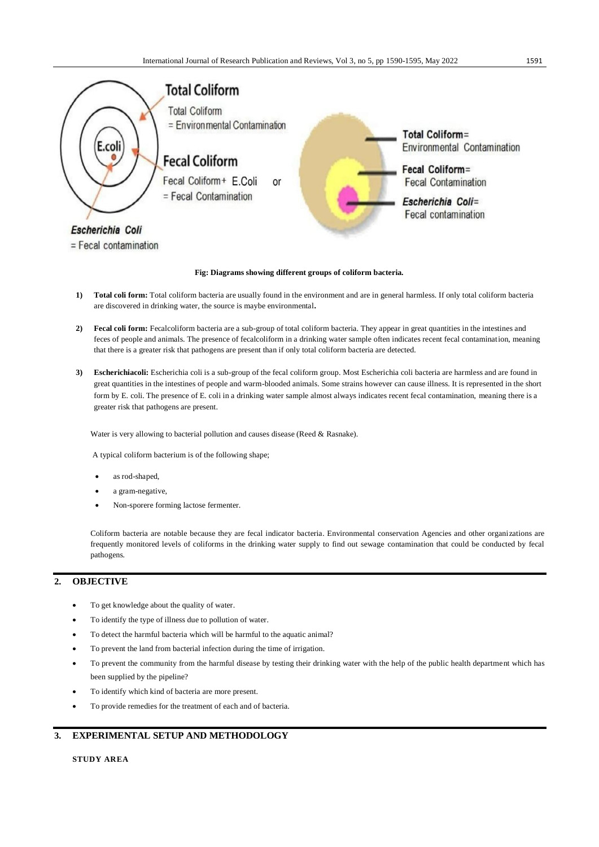

#### **Fig: Diagrams showing different groups of coliform bacteria.**

- **1) Total coli form:** Total coliform bacteria are usually found in the environment and are in general harmless. If only total coliform bacteria are discovered in drinking water, the source is maybe environmental**.**
- **2) Fecal coli form:** Fecalcoliform bacteria are a sub-group of total coliform bacteria. They appear in great quantities in the intestines and feces of people and animals. The presence of fecalcoliform in a drinking water sample often indicates recent fecal contamination, meaning that there is a greater risk that pathogens are present than if only total coliform bacteria are detected.
- **3) Escherichiacoli:** Escherichia coli is a sub-group of the fecal coliform group. Most Escherichia coli bacteria are harmless and are found in great quantities in the intestines of people and warm-blooded animals. Some strains however can cause illness. It is represented in the short form by E. coli. The presence of E. coli in a drinking water sample almost always indicates recent fecal contamination, meaning there is a greater risk that pathogens are present.

Water is very allowing to bacterial pollution and causes disease (Reed & Rasnake).

A typical coliform bacterium is of the following shape;

- as rod-shaped,
- a gram-negative,
- Non-sporere forming lactose fermenter.

Coliform bacteria are notable because they are fecal indicator bacteria. Environmental conservation Agencies and other organizations are frequently monitored levels of coliforms in the drinking water supply to find out sewage contamination that could be conducted by fecal pathogens.

# **2. OBJECTIVE**

- To get knowledge about the quality of water.
- To identify the type of illness due to pollution of water.
- To detect the harmful bacteria which will be harmful to the aquatic animal?
- To prevent the land from bacterial infection during the time of irrigation.
- To prevent the community from the harmful disease by testing their drinking water with the help of the public health department which has been supplied by the pipeline?
- To identify which kind of bacteria are more present.
- To provide remedies for the treatment of each and of bacteria.

# **3. EXPERIMENTAL SETUP AND METHODOLOGY**

**STUDY AREA**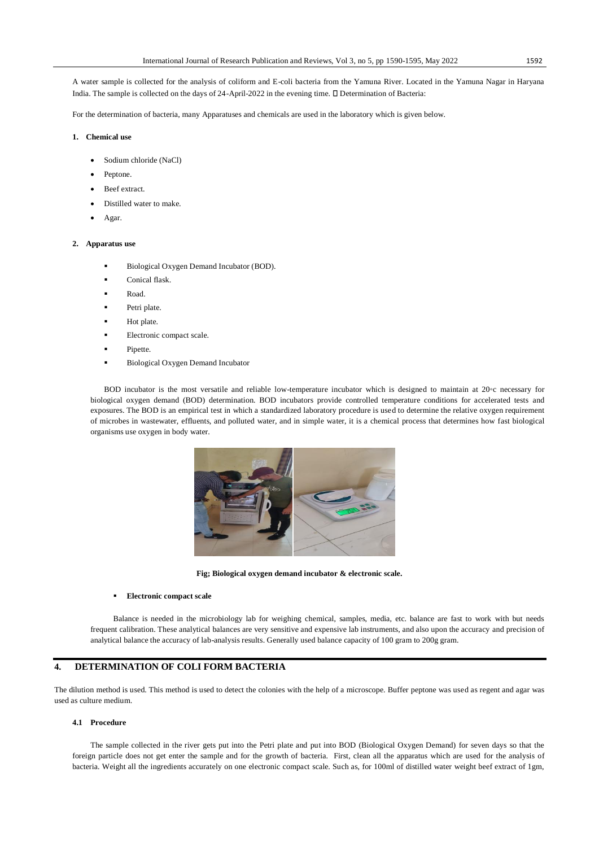A water sample is collected for the analysis of coliform and E-coli bacteria from the Yamuna River. Located in the Yamuna Nagar in Haryana India. The sample is collected on the days of 24-April-2022 in the evening time.  $\square$  Determination of Bacteria:

For the determination of bacteria, many Apparatuses and chemicals are used in the laboratory which is given below.

## **1. Chemical use**

- Sodium chloride (NaCl)
- Peptone.
- Beef extract.
- Distilled water to make.
- Agar.

#### **2. Apparatus use**

- Biological Oxygen Demand Incubator (BOD).
- Conical flask.
- Road.
- Petri plate.
- Hot plate.
- Electronic compact scale.
- Pipette.
- Biological Oxygen Demand Incubator

BOD incubator is the most versatile and reliable low-temperature incubator which is designed to maintain at  $20^\circ$ c necessary for biological oxygen demand (BOD) determination. BOD incubators provide controlled temperature conditions for accelerated tests and exposures. The BOD is an empirical test in which a standardized laboratory procedure is used to determine the relative oxygen requirement of microbes in wastewater, effluents, and polluted water, and in simple water, it is a chemical process that determines how fast biological organisms use oxygen in body water.



**Fig; Biological oxygen demand incubator & electronic scale.**

#### **Electronic compact scale**

Balance is needed in the microbiology lab for weighing chemical, samples, media, etc. balance are fast to work with but needs frequent calibration. These analytical balances are very sensitive and expensive lab instruments, and also upon the accuracy and precision of analytical balance the accuracy of lab-analysis results. Generally used balance capacity of 100 gram to 200g gram.

# **4. DETERMINATION OF COLI FORM BACTERIA**

The dilution method is used. This method is used to detect the colonies with the help of a microscope. Buffer peptone was used as regent and agar was used as culture medium.

### **4.1 Procedure**

The sample collected in the river gets put into the Petri plate and put into BOD (Biological Oxygen Demand) for seven days so that the foreign particle does not get enter the sample and for the growth of bacteria. First, clean all the apparatus which are used for the analysis of bacteria. Weight all the ingredients accurately on one electronic compact scale. Such as, for 100ml of distilled water weight beef extract of 1gm,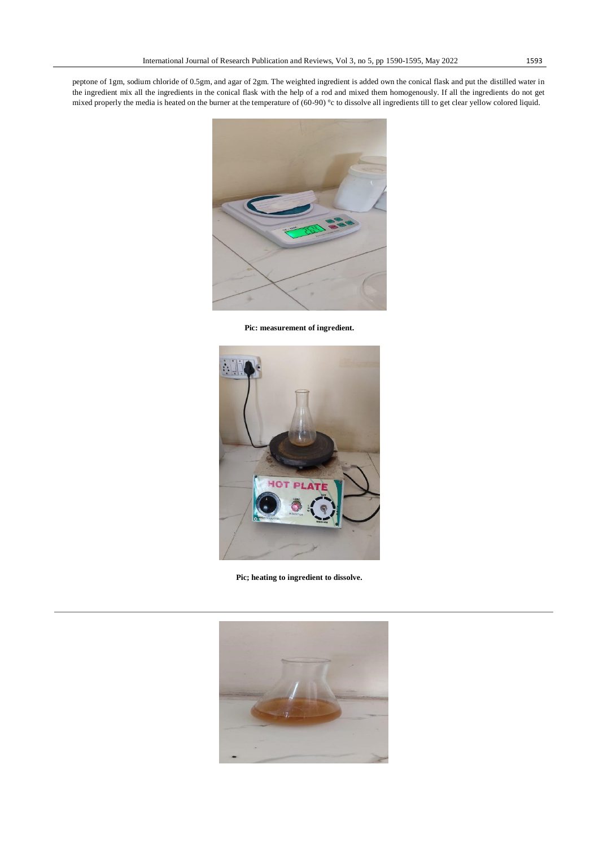peptone of 1gm, sodium chloride of 0.5gm, and agar of 2gm. The weighted ingredient is added own the conical flask and put the distilled water in the ingredient mix all the ingredients in the conical flask with the help of a rod and mixed them homogenously. If all the ingredients do not get mixed properly the media is heated on the burner at the temperature of (60-90) °c to dissolve all ingredients till to get clear yellow colored liquid.



**Pic: measurement of ingredient.**



**Pic; heating to ingredient to dissolve.**

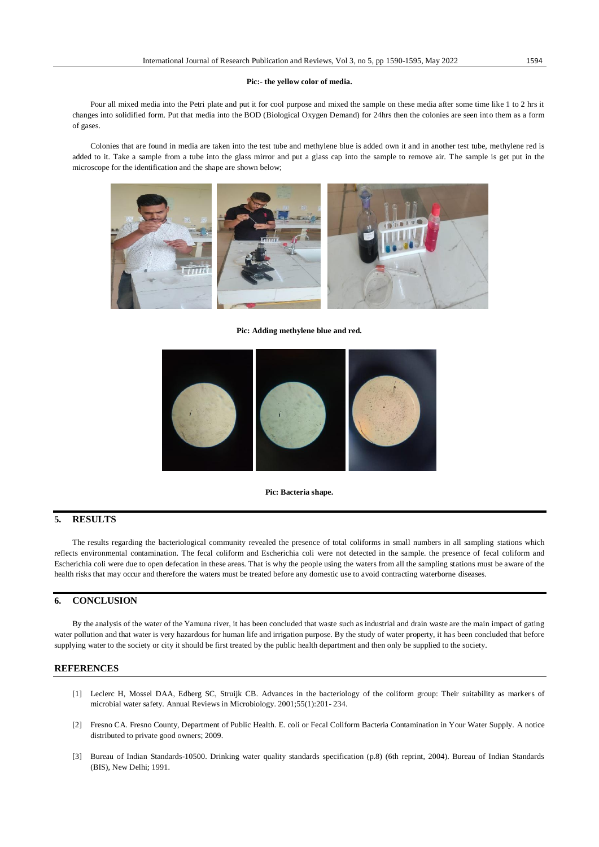#### **Pic:- the yellow color of media.**

Pour all mixed media into the Petri plate and put it for cool purpose and mixed the sample on these media after some time like 1 to 2 hrs it changes into solidified form. Put that media into the BOD (Biological Oxygen Demand) for 24hrs then the colonies are seen into them as a form of gases.

Colonies that are found in media are taken into the test tube and methylene blue is added own it and in another test tube, methylene red is added to it. Take a sample from a tube into the glass mirror and put a glass cap into the sample to remove air. The sample is get put in the microscope for the identification and the shape are shown below;



**Pic: Adding methylene blue and red.**



#### **Pic: Bacteria shape.**

# **5. RESULTS**

The results regarding the bacteriological community revealed the presence of total coliforms in small numbers in all sampling stations which reflects environmental contamination. The fecal coliform and Escherichia coli were not detected in the sample. the presence of fecal coliform and Escherichia coli were due to open defecation in these areas. That is why the people using the waters from all the sampling stations must be aware of the health risks that may occur and therefore the waters must be treated before any domestic use to avoid contracting waterborne diseases.

# **6. CONCLUSION**

By the analysis of the water of the Yamuna river, it has been concluded that waste such as industrial and drain waste are the main impact of gating water pollution and that water is very hazardous for human life and irrigation purpose. By the study of water property, it ha s been concluded that before supplying water to the society or city it should be first treated by the public health department and then only be supplied to the society.

#### **REFERENCES**

- [1] Leclerc H, Mossel DAA, Edberg SC, Struijk CB. Advances in the bacteriology of the coliform group: Their suitability as markers of microbial water safety. Annual Reviews in Microbiology. 2001;55(1):201- 234.
- [2] Fresno CA. Fresno County, Department of Public Health. E. coli or Fecal Coliform Bacteria Contamination in Your Water Supply. A notice distributed to private good owners; 2009.
- [3] Bureau of Indian Standards-10500. Drinking water quality standards specification (p.8) (6th reprint, 2004). Bureau of Indian Standards (BIS), New Delhi; 1991.